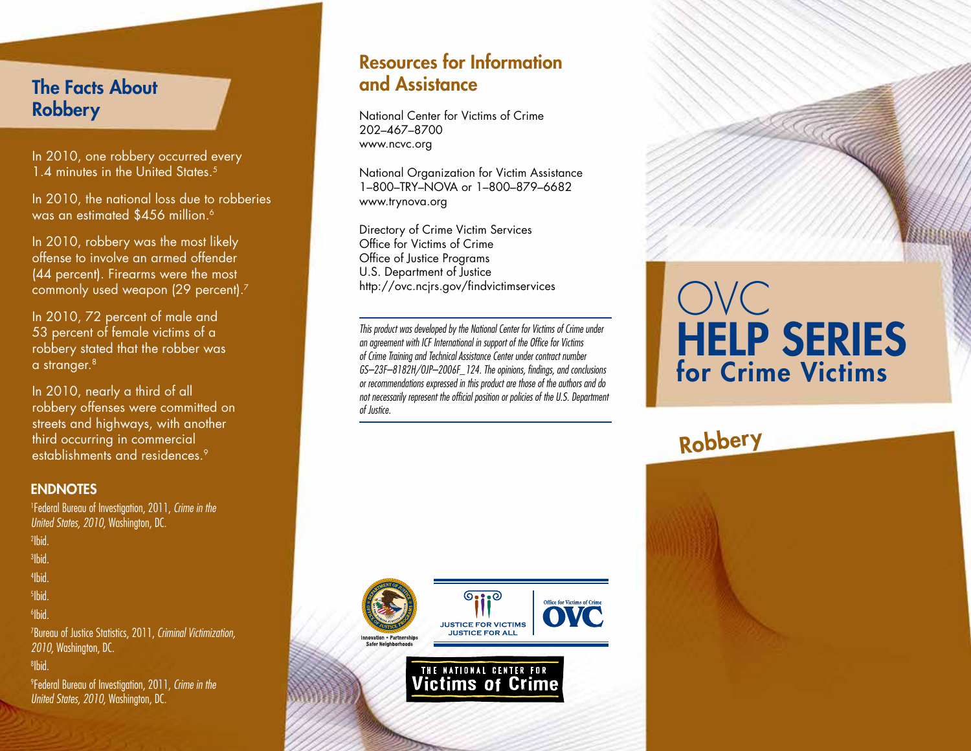### The Facts About **Robbery**

In 2010, one robbery occurred every 1.4 minutes in the United States.<sup>5</sup>

In 2010, the national loss due to robberies was an estimated \$456 million.<sup>6</sup>

In 2010, robbery was the most likely offense to involve an armed offender (44 percent). Firearms were the most commonly used weapon (29 percent).<sup>7</sup>

In 2010, 72 percent of male and 53 percent of female victims of a robbery stated that the robber was a stranger. $8$ 

In 2010, nearly a third of all robbery offenses were committed on streets and highways, with another third occurring in commercial establishments and residences.9

### **ENDNOTES**

1 Federal Bureau of Investigation, 2011, *Crime in the United States, 2010,* Washington, DC. 2 Ibid. 3 Ibid.

4 Ibid.

5 Ibid.

6 Ibid.

7 Bureau of Justice Statistics, 2011, *Criminal Victimization, 2010,* Washington, DC.

#### 8 Ibid.

9 Federal Bureau of Investigation, 2011, *Crime in the United States, 2010,* Washington, DC.

### Resources for Information and Assistance

National Center for Victims of Crime 202–467–8700 www.ncvc.org

National Organization for Victim Assistance 1–800–TRY–NOVA or 1–800–879–6682 www.trynova.org

Directory of Crime Victim Services Office for Victims of Crime Office of Justice Programs U.S. Department of Justice http://ovc.ncjrs.gov/findvictimservices

*This product was developed by the National Center for Victims of Crime under an agreement with ICF International in support of the Office for Victims of Crime Training and Technical Assistance Center under contract number GS–23F–8182H/OJP–2006F\_124. The opinions, findings, and conclusions or recommendations expressed in this product are those of the authors and do not necessarily represent the official position or policies of the U.S. Department of Justice.*



**Victims of Crime** 

# OVC HELP SERIES for Crime Victims

## Robbery